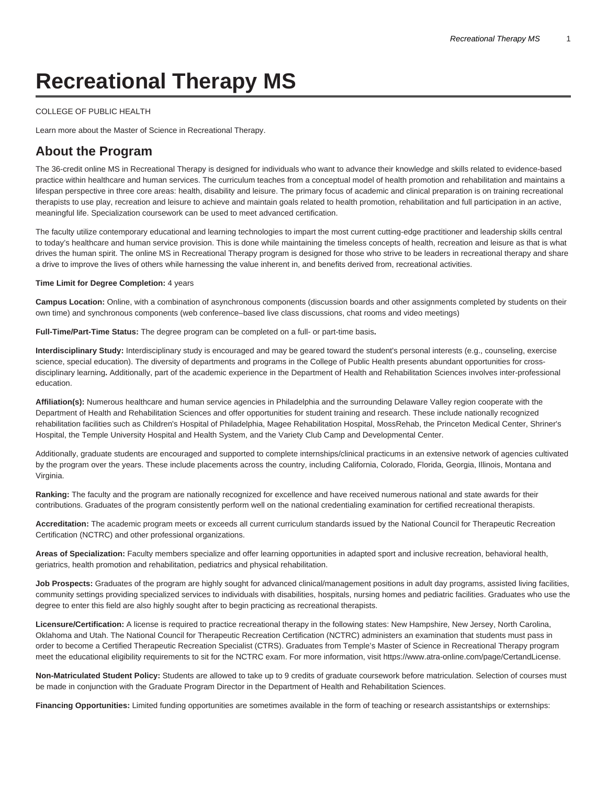# **Recreational Therapy MS**

#### [COLLEGE OF PUBLIC HEALTH](https://cph.temple.edu/)

Learn more about the Master of Science in Recreational Therapy.

# **About the Program**

The 36-credit online MS in Recreational Therapy is designed for individuals who want to advance their knowledge and skills related to evidence-based practice within healthcare and human services. The curriculum teaches from a conceptual model of health promotion and rehabilitation and maintains a lifespan perspective in three core areas: health, disability and leisure. The primary focus of academic and clinical preparation is on training recreational therapists to use play, recreation and leisure to achieve and maintain goals related to health promotion, rehabilitation and full participation in an active, meaningful life. Specialization coursework can be used to meet advanced certification.

The faculty utilize contemporary educational and learning technologies to impart the most current cutting-edge practitioner and leadership skills central to today's healthcare and human service provision. This is done while maintaining the timeless concepts of health, recreation and leisure as that is what drives the human spirit. The online MS in Recreational Therapy program is designed for those who strive to be leaders in recreational therapy and share a drive to improve the lives of others while harnessing the value inherent in, and benefits derived from, recreational activities.

#### **Time Limit for Degree Completion:** 4 years

**Campus Location:** Online, with a combination of asynchronous components (discussion boards and other assignments completed by students on their own time) and synchronous components (web conference–based live class discussions, chat rooms and video meetings)

**Full-Time/Part-Time Status:** The degree program can be completed on a full- or part-time basis**.**

**Interdisciplinary Study:** Interdisciplinary study is encouraged and may be geared toward the student's personal interests (e.g., counseling, exercise science, special education). The diversity of departments and programs in the College of Public Health presents abundant opportunities for crossdisciplinary learning**.** Additionally, part of the academic experience in the Department of Health and Rehabilitation Sciences involves inter-professional education.

**Affiliation(s):** Numerous healthcare and human service agencies in Philadelphia and the surrounding Delaware Valley region cooperate with the Department of Health and Rehabilitation Sciences and offer opportunities for student training and research. These include nationally recognized rehabilitation facilities such as Children's Hospital of Philadelphia, Magee Rehabilitation Hospital, MossRehab, the Princeton Medical Center, Shriner's Hospital, the Temple University Hospital and Health System, and the Variety Club Camp and Developmental Center.

Additionally, graduate students are encouraged and supported to complete internships/clinical practicums in an extensive network of agencies cultivated by the program over the years. These include placements across the country, including California, Colorado, Florida, Georgia, Illinois, Montana and Virginia.

**Ranking:** The faculty and the program are nationally recognized for excellence and have received numerous national and state awards for their contributions. Graduates of the program consistently perform well on the national credentialing examination for certified recreational therapists.

**Accreditation:** The academic program meets or exceeds all current curriculum standards issued by the National Council for Therapeutic Recreation Certification (NCTRC) and other professional organizations.

**Areas of Specialization:** Faculty members specialize and offer learning opportunities in adapted sport and inclusive recreation, behavioral health, geriatrics, health promotion and rehabilitation, pediatrics and physical rehabilitation.

**Job Prospects:** Graduates of the program are highly sought for advanced clinical/management positions in adult day programs, assisted living facilities, community settings providing specialized services to individuals with disabilities, hospitals, nursing homes and pediatric facilities. Graduates who use the degree to enter this field are also highly sought after to begin practicing as recreational therapists.

**Licensure/Certification:** A license is required to practice recreational therapy in the following states: New Hampshire, New Jersey, North Carolina, Oklahoma and Utah. The National Council for Therapeutic Recreation Certification (NCTRC) administers an examination that students must pass in order to become a Certified Therapeutic Recreation Specialist (CTRS). Graduates from Temple's Master of Science in Recreational Therapy program meet the educational eligibility requirements to sit for the NCTRC exam. For more information, visit [https://www.atra-online.com/page/CertandLicense.](https://www.atra-online.com/page/CertandLicense/)

**Non-Matriculated Student Policy:** Students are allowed to take up to 9 credits of graduate coursework before matriculation. Selection of courses must be made in conjunction with the Graduate Program Director in the Department of Health and Rehabilitation Sciences.

**Financing Opportunities:** Limited funding opportunities are sometimes available in the form of teaching or research assistantships or externships: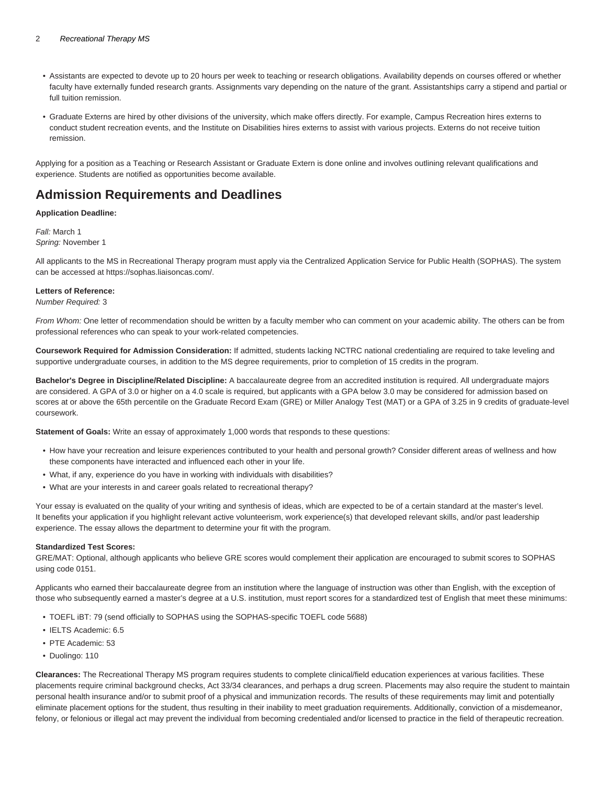#### 2 Recreational Therapy MS

- Assistants are expected to devote up to 20 hours per week to teaching or research obligations. Availability depends on courses offered or whether faculty have externally funded research grants. Assignments vary depending on the nature of the grant. Assistantships carry a stipend and partial or full tuition remission.
- Graduate Externs are hired by other divisions of the university, which make offers directly. For example, Campus Recreation hires externs to conduct student recreation events, and the Institute on Disabilities hires externs to assist with various projects. Externs do not receive tuition remission.

Applying for a position as a Teaching or Research Assistant or Graduate Extern is done online and involves outlining relevant qualifications and experience. Students are notified as opportunities become available.

# **Admission Requirements and Deadlines**

#### **Application Deadline:**

Fall: March 1 Spring: November 1

All applicants to the MS in Recreational Therapy program must apply via the Centralized Application Service for Public Health (SOPHAS). The system can be accessed at [https://sophas.liaisoncas.com/.](https://sophas.liaisoncas.com/applicant-ux/)

#### **Letters of Reference:**

Number Required: 3

From Whom: One letter of recommendation should be written by a faculty member who can comment on your academic ability. The others can be from professional references who can speak to your work-related competencies.

**Coursework Required for Admission Consideration:** If admitted, students lacking NCTRC national credentialing are required to take leveling and supportive undergraduate courses, in addition to the MS degree requirements, prior to completion of 15 credits in the program.

**Bachelor's Degree in Discipline/Related Discipline:** A baccalaureate degree from an accredited institution is required. All undergraduate majors are considered. A GPA of 3.0 or higher on a 4.0 scale is required, but applicants with a GPA below 3.0 may be considered for admission based on scores at or above the 65th percentile on the Graduate Record Exam (GRE) or Miller Analogy Test (MAT) or a GPA of 3.25 in 9 credits of graduate-level coursework.

**Statement of Goals:** Write an essay of approximately 1,000 words that responds to these questions:

- How have your recreation and leisure experiences contributed to your health and personal growth? Consider different areas of wellness and how these components have interacted and influenced each other in your life.
- What, if any, experience do you have in working with individuals with disabilities?
- What are your interests in and career goals related to recreational therapy?

Your essay is evaluated on the quality of your writing and synthesis of ideas, which are expected to be of a certain standard at the master's level. It benefits your application if you highlight relevant active volunteerism, work experience(s) that developed relevant skills, and/or past leadership experience. The essay allows the department to determine your fit with the program.

#### **Standardized Test Scores:**

GRE/MAT: Optional, although applicants who believe GRE scores would complement their application are encouraged to submit scores to [SOPHAS](https://sophas.liaisoncas.com/applicant-ux/) using code 0151.

Applicants who earned their baccalaureate degree from an institution where the language of instruction was other than English, with the exception of those who subsequently earned a master's degree at a U.S. institution, must report scores for a standardized test of English that meet these minimums:

- TOEFL iBT: 79 (send officially to [SOPHAS](https://sophas.liaisoncas.com/applicant-ux/) using the SOPHAS-specific TOEFL code 5688)
- IELTS Academic: 6.5
- PTE Academic: 53
- Duolingo: 110

**Clearances:** The Recreational Therapy MS program requires students to complete clinical/field education experiences at various facilities. These placements require criminal background checks, Act 33/34 clearances, and perhaps a drug screen. Placements may also require the student to maintain personal health insurance and/or to submit proof of a physical and immunization records. The results of these requirements may limit and potentially eliminate placement options for the student, thus resulting in their inability to meet graduation requirements. Additionally, conviction of a misdemeanor, felony, or felonious or illegal act may prevent the individual from becoming credentialed and/or licensed to practice in the field of therapeutic recreation.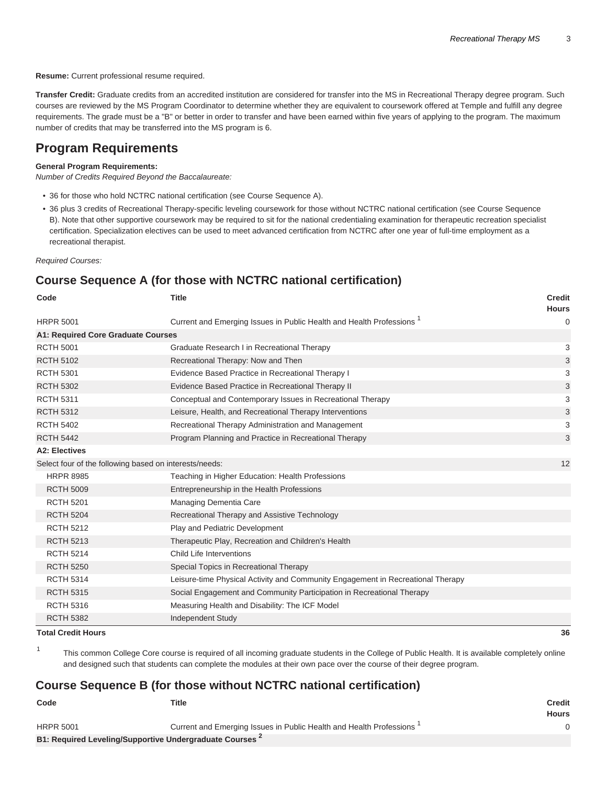**Resume:** Current professional resume required.

**Transfer Credit:** Graduate credits from an accredited institution are considered for transfer into the MS in Recreational Therapy degree program. Such courses are reviewed by the MS Program Coordinator to determine whether they are equivalent to coursework offered at Temple and fulfill any degree requirements. The grade must be a "B" or better in order to transfer and have been earned within five years of applying to the program. The maximum number of credits that may be transferred into the MS program is 6.

# **Program Requirements**

#### **General Program Requirements:**

Number of Credits Required Beyond the Baccalaureate:

- 36 for those who hold NCTRC national certification (see Course Sequence A).
- 36 plus 3 credits of Recreational Therapy-specific leveling coursework for those without NCTRC national certification (see Course Sequence B). Note that other supportive coursework may be required to sit for the national credentialing examination for therapeutic recreation specialist certification. Specialization electives can be used to meet advanced certification from NCTRC after one year of full-time employment as a recreational therapist.

Required Courses:

1

## **Course Sequence A (for those with NCTRC national certification)**

| Code                                                   | <b>Title</b>                                                                     | <b>Credit</b><br><b>Hours</b> |
|--------------------------------------------------------|----------------------------------------------------------------------------------|-------------------------------|
| <b>HRPR 5001</b>                                       | Current and Emerging Issues in Public Health and Health Professions <sup>1</sup> | $\mathbf 0$                   |
| <b>A1: Required Core Graduate Courses</b>              |                                                                                  |                               |
| <b>RCTH 5001</b>                                       | Graduate Research I in Recreational Therapy                                      | 3                             |
| <b>RCTH 5102</b>                                       | Recreational Therapy: Now and Then                                               | 3                             |
| <b>RCTH 5301</b>                                       | Evidence Based Practice in Recreational Therapy I                                | 3                             |
| <b>RCTH 5302</b>                                       | Evidence Based Practice in Recreational Therapy II                               | 3                             |
| <b>RCTH 5311</b>                                       | Conceptual and Contemporary Issues in Recreational Therapy                       | 3                             |
| <b>RCTH 5312</b>                                       | Leisure, Health, and Recreational Therapy Interventions                          | 3                             |
| <b>RCTH 5402</b>                                       | Recreational Therapy Administration and Management                               | 3                             |
| <b>RCTH 5442</b>                                       | Program Planning and Practice in Recreational Therapy                            | 3                             |
| <b>A2: Electives</b>                                   |                                                                                  |                               |
| Select four of the following based on interests/needs: |                                                                                  | 12                            |
| <b>HRPR 8985</b>                                       | Teaching in Higher Education: Health Professions                                 |                               |
| <b>RCTH 5009</b>                                       | Entrepreneurship in the Health Professions                                       |                               |
| <b>RCTH 5201</b>                                       | Managing Dementia Care                                                           |                               |
| <b>RCTH 5204</b>                                       | Recreational Therapy and Assistive Technology                                    |                               |
| <b>RCTH 5212</b>                                       | Play and Pediatric Development                                                   |                               |
| <b>RCTH 5213</b>                                       | Therapeutic Play, Recreation and Children's Health                               |                               |
| <b>RCTH 5214</b>                                       | Child Life Interventions                                                         |                               |
| <b>RCTH 5250</b>                                       | Special Topics in Recreational Therapy                                           |                               |
| <b>RCTH 5314</b>                                       | Leisure-time Physical Activity and Community Engagement in Recreational Therapy  |                               |
| <b>RCTH 5315</b>                                       | Social Engagement and Community Participation in Recreational Therapy            |                               |
| <b>RCTH 5316</b>                                       | Measuring Health and Disability: The ICF Model                                   |                               |
| <b>RCTH 5382</b>                                       | <b>Independent Study</b>                                                         |                               |
| <b>Total Credit Hours</b>                              |                                                                                  | 36                            |

This common College Core course is required of all incoming graduate students in the College of Public Health. It is available completely online and designed such that students can complete the modules at their own pace over the course of their degree program.

### **Course Sequence B (for those without NCTRC national certification)**

| Code                                                   | Title                                                                            | <b>Credit</b><br><b>Hours</b> |
|--------------------------------------------------------|----------------------------------------------------------------------------------|-------------------------------|
| <b>HRPR 5001</b>                                       | Current and Emerging Issues in Public Health and Health Professions <sup>1</sup> |                               |
| B1: Required Leveling/Supportive Undergraduate Courses |                                                                                  |                               |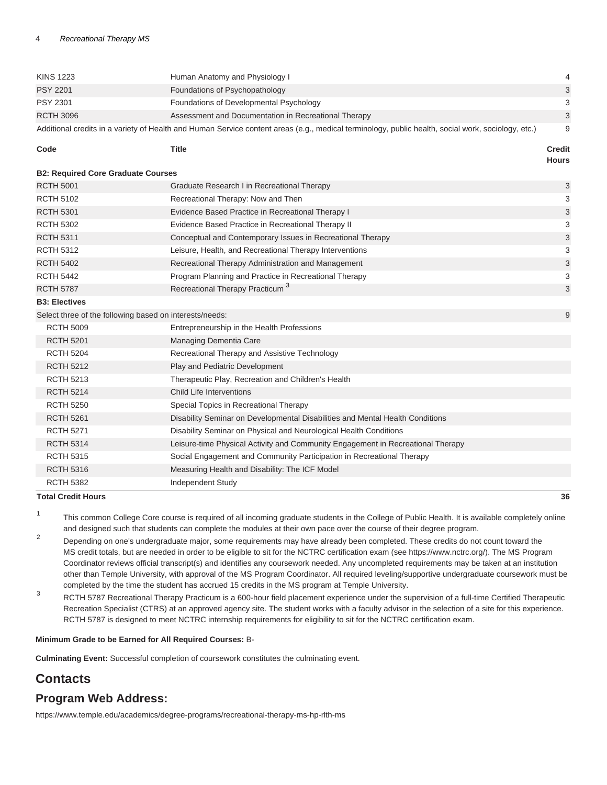| <b>KINS 1223</b>                                                                                                                                   | Human Anatomy and Physiology I                                                  | $\overline{4}$                |  |  |
|----------------------------------------------------------------------------------------------------------------------------------------------------|---------------------------------------------------------------------------------|-------------------------------|--|--|
| <b>PSY 2201</b>                                                                                                                                    | Foundations of Psychopathology                                                  | 3                             |  |  |
| PSY 2301                                                                                                                                           | Foundations of Developmental Psychology                                         | 3                             |  |  |
| <b>RCTH 3096</b>                                                                                                                                   | Assessment and Documentation in Recreational Therapy                            | 3                             |  |  |
| Additional credits in a variety of Health and Human Service content areas (e.g., medical terminology, public health, social work, sociology, etc.) |                                                                                 |                               |  |  |
| Code                                                                                                                                               | Title                                                                           | <b>Credit</b><br><b>Hours</b> |  |  |
| <b>B2: Required Core Graduate Courses</b>                                                                                                          |                                                                                 |                               |  |  |
| <b>RCTH 5001</b>                                                                                                                                   | Graduate Research I in Recreational Therapy                                     | 3                             |  |  |
| <b>RCTH 5102</b>                                                                                                                                   | Recreational Therapy: Now and Then                                              | 3                             |  |  |
| <b>RCTH 5301</b>                                                                                                                                   | Evidence Based Practice in Recreational Therapy I                               | $\sqrt{3}$                    |  |  |
| <b>RCTH 5302</b>                                                                                                                                   | Evidence Based Practice in Recreational Therapy II                              | 3                             |  |  |
| <b>RCTH 5311</b>                                                                                                                                   | Conceptual and Contemporary Issues in Recreational Therapy                      | 3                             |  |  |
| <b>RCTH 5312</b>                                                                                                                                   | Leisure, Health, and Recreational Therapy Interventions                         | 3                             |  |  |
| <b>RCTH 5402</b>                                                                                                                                   | Recreational Therapy Administration and Management                              | $\ensuremath{\mathsf{3}}$     |  |  |
| <b>RCTH 5442</b>                                                                                                                                   | Program Planning and Practice in Recreational Therapy                           | 3                             |  |  |
| <b>RCTH 5787</b>                                                                                                                                   | Recreational Therapy Practicum <sup>3</sup>                                     | 3                             |  |  |
| <b>B3: Electives</b>                                                                                                                               |                                                                                 |                               |  |  |
| Select three of the following based on interests/needs:                                                                                            |                                                                                 |                               |  |  |
| <b>RCTH 5009</b>                                                                                                                                   | Entrepreneurship in the Health Professions                                      |                               |  |  |
| <b>RCTH 5201</b>                                                                                                                                   | Managing Dementia Care                                                          |                               |  |  |
| <b>RCTH 5204</b>                                                                                                                                   | Recreational Therapy and Assistive Technology                                   |                               |  |  |
| <b>RCTH 5212</b>                                                                                                                                   | Play and Pediatric Development                                                  |                               |  |  |
| <b>RCTH 5213</b>                                                                                                                                   | Therapeutic Play, Recreation and Children's Health                              |                               |  |  |
| <b>RCTH 5214</b>                                                                                                                                   | Child Life Interventions                                                        |                               |  |  |
| <b>RCTH 5250</b>                                                                                                                                   | Special Topics in Recreational Therapy                                          |                               |  |  |
| <b>RCTH 5261</b>                                                                                                                                   | Disability Seminar on Developmental Disabilities and Mental Health Conditions   |                               |  |  |
| <b>RCTH 5271</b>                                                                                                                                   | Disability Seminar on Physical and Neurological Health Conditions               |                               |  |  |
| <b>RCTH 5314</b>                                                                                                                                   | Leisure-time Physical Activity and Community Engagement in Recreational Therapy |                               |  |  |
| <b>RCTH 5315</b>                                                                                                                                   | Social Engagement and Community Participation in Recreational Therapy           |                               |  |  |
| <b>RCTH 5316</b>                                                                                                                                   | Measuring Health and Disability: The ICF Model                                  |                               |  |  |
| <b>RCTH 5382</b>                                                                                                                                   | Independent Study                                                               |                               |  |  |

#### **Total Credit Hours 36**

1 This common College Core course is required of all incoming graduate students in the College of Public Health. It is available completely online and designed such that students can complete the modules at their own pace over the course of their degree program.

2 Depending on one's undergraduate major, some requirements may have already been completed. These credits do not count toward the MS credit totals, but are needed in order to be eligible to sit for the NCTRC certification exam (see <https://www.nctrc.org/>). The MS Program Coordinator reviews official transcript(s) and identifies any coursework needed. Any uncompleted requirements may be taken at an institution other than Temple University, with approval of the MS Program Coordinator. All required leveling/supportive undergraduate coursework must be completed by the time the student has accrued 15 credits in the MS program at Temple University.

3 RCTH 5787 Recreational Therapy Practicum is a 600-hour field placement experience under the supervision of a full-time Certified Therapeutic Recreation Specialist (CTRS) at an approved agency site. The student works with a faculty advisor in the selection of a site for this experience. RCTH 5787 is designed to meet NCTRC internship requirements for eligibility to sit for the NCTRC certification exam.

#### **Minimum Grade to be Earned for All Required Courses:** B-

**Culminating Event:** Successful completion of coursework constitutes the culminating event.

# **Contacts**

## **Program Web Address:**

[https://www.temple.edu/academics/degree-programs/recreational-therapy-ms-hp-rlth-ms](https://www.temple.edu/academics/degree-programs/recreational-therapy-ms-hp-rlth-ms/)